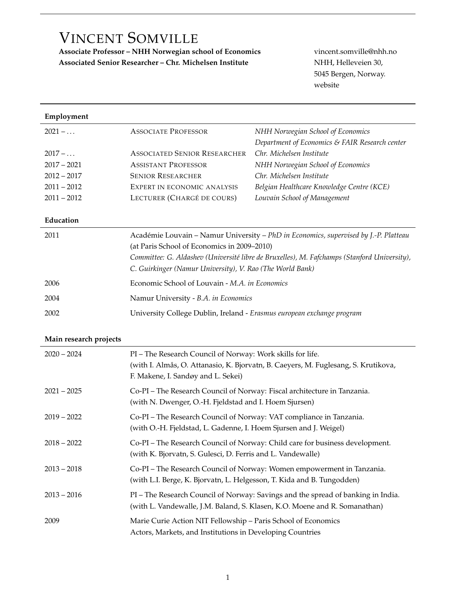# VINCENT SOMVILLE

**Associate Professor – NHH Norwegian school of Economics** vincent.somville@nhh.no Associated Senior Researcher – Chr. Michelsen Institute NHH, Helleveien 30,

5045 Bergen, Norway. [website](https://sites.google.com/view/vincentsomville)

| Employment             |                                                                                                                                                                                                                                                                                                 |                                                                                                                                                                |
|------------------------|-------------------------------------------------------------------------------------------------------------------------------------------------------------------------------------------------------------------------------------------------------------------------------------------------|----------------------------------------------------------------------------------------------------------------------------------------------------------------|
| $2021 - $              | <b>ASSOCIATE PROFESSOR</b>                                                                                                                                                                                                                                                                      | NHH Norwegian School of Economics<br>Department of Economics & FAIR Research center                                                                            |
| $2017 - $              | <b>ASSOCIATED SENIOR RESEARCHER</b>                                                                                                                                                                                                                                                             | Chr. Michelsen Institute                                                                                                                                       |
| $2017 - 2021$          | <b>ASSISTANT PROFESSOR</b>                                                                                                                                                                                                                                                                      | NHH Norwegian School of Economics                                                                                                                              |
| $2012 - 2017$          | <b>SENIOR RESEARCHER</b>                                                                                                                                                                                                                                                                        | Chr. Michelsen Institute                                                                                                                                       |
| $2011 - 2012$          | EXPERT IN ECONOMIC ANALYSIS                                                                                                                                                                                                                                                                     | Belgian Healthcare Knowledge Centre (KCE)                                                                                                                      |
| $2011 - 2012$          | LECTURER (CHARGÉ DE COURS)                                                                                                                                                                                                                                                                      | Louvain School of Management                                                                                                                                   |
| Education              |                                                                                                                                                                                                                                                                                                 |                                                                                                                                                                |
| 2011                   | Académie Louvain - Namur University - PhD in Economics, supervised by J.-P. Platteau<br>(at Paris School of Economics in 2009-2010)<br>Committee: G. Aldashev (Université libre de Bruxelles), M. Fafchamps (Stanford University),<br>C. Guirkinger (Namur University), V. Rao (The World Bank) |                                                                                                                                                                |
| 2006                   | Economic School of Louvain - M.A. in Economics                                                                                                                                                                                                                                                  |                                                                                                                                                                |
| 2004                   | Namur University - B.A. in Economics                                                                                                                                                                                                                                                            |                                                                                                                                                                |
| 2002                   | University College Dublin, Ireland - Erasmus european exchange program                                                                                                                                                                                                                          |                                                                                                                                                                |
| Main research projects |                                                                                                                                                                                                                                                                                                 |                                                                                                                                                                |
| $2020 - 2024$          | PI - The Research Council of Norway: Work skills for life.<br>F. Makene, I. Sandøy and L. Sekei)                                                                                                                                                                                                | (with I. Almås, O. Attanasio, K. Bjorvatn, B. Caeyers, M. Fuglesang, S. Krutikova,                                                                             |
| $2021 - 2025$          | Co-PI - The Research Council of Norway: Fiscal architecture in Tanzania.<br>(with N. Dwenger, O.-H. Fjeldstad and I. Hoem Sjursen)                                                                                                                                                              |                                                                                                                                                                |
| $2019 - 2022$          | Co-PI - The Research Council of Norway: VAT compliance in Tanzania.<br>(with O.-H. Fjeldstad, L. Gadenne, I. Hoem Sjursen and J. Weigel)                                                                                                                                                        |                                                                                                                                                                |
| $2018 - 2022$          | (with K. Bjorvatn, S. Gulesci, D. Ferris and L. Vandewalle)                                                                                                                                                                                                                                     | Co-PI - The Research Council of Norway: Child care for business development.                                                                                   |
| $2013 - 2018$          | (with L.I. Berge, K. Bjorvatn, L. Helgesson, T. Kida and B. Tungodden)                                                                                                                                                                                                                          | Co-PI - The Research Council of Norway: Women empowerment in Tanzania.                                                                                         |
| $2013 - 2016$          |                                                                                                                                                                                                                                                                                                 | PI - The Research Council of Norway: Savings and the spread of banking in India.<br>(with L. Vandewalle, J.M. Baland, S. Klasen, K.O. Moene and R. Somanathan) |
| 2009                   | Marie Curie Action NIT Fellowship - Paris School of Economics<br>Actors, Markets, and Institutions in Developing Countries                                                                                                                                                                      |                                                                                                                                                                |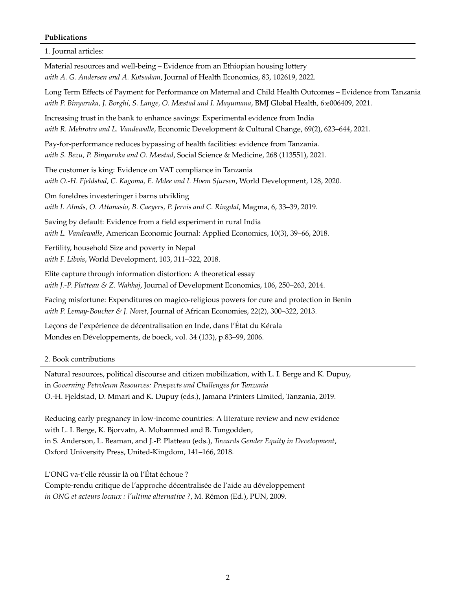### **Publications**

1. Journal articles:

[Material resources and well-being – Evidence from an Ethiopian housing lottery](https://doi.org/10.1016/j.jhealeco.2022.102619) *with A. G. Andersen and A. Kotsadam*, Journal of Health Economics, 83, 102619, 2022. [Long Term Effects of Payment for Performance on Maternal and Child Health Outcomes – Evidence from Tanzania](https://gh.bmj.com/content/6/12/e006409) *with P. Binyaruka, J. Borghi, S. Lange, O. Mæstad and I. Mayumana*, BMJ Global Health, 6:e006409, 2021. [Increasing trust in the bank to enhance savings: Experimental evidence from India](https://doi.org/10.1086/703084) *with R. Mehrotra and L. Vandewalle*, Economic Development & Cultural Change, 69(2), 623–644, 2021. [Pay-for-performance reduces bypassing of health facilities: evidence from Tanzania.](https://doi.org/10.1016/j.socscimed.2020.113551) *with S. Bezu, P. Binyaruka and O. Mæstad*, Social Science & Medicine, 268 (113551), 2021. [The customer is king: Evidence on VAT compliance in Tanzania](https://doi.org/10.1016/j.worlddev.2019.104841) *with O.-H. Fjeldstad, C. Kagoma, E. Mdee and I. Hoem Sjursen*, World Development, 128, 2020. [Om foreldres investeringer i barns utvikling](https://www.magma.no/om-foreldres-investeringer-i-barns-utvikling) *with I. Almås, O. Attanasio, B. Caeyers, P. Jervis and C. Ringdal*, Magma, 6, 33–39, 2019. [Saving by default: Evidence from a field experiment in rural India](https://doi.org/10.1257/app.20160547) *with L. Vandewalle*, American Economic Journal: Applied Economics, 10(3), 39–66, 2018. [Fertility, household Size and poverty in Nepal](https://doi.org/10.1016/j.worlddev.2017.11.005) *with F. Libois*, World Development, 103, 311–322, 2018. [Elite capture through information distortion: A theoretical essay](https://doi.org/10.1016/j.jdeveco.2013.10.002) *with J.-P. Platteau & Z. Wahhaj*, Journal of Development Economics, 106, 250–263, 2014. [Facing misfortune: Expenditures on magico-religious powers for cure and protection in Benin](https://doi.org/10.1093/jae/ejs032) *with P. Lemay-Boucher & J. Noret*, Journal of African Economies, 22(2), 300–322, 2013. [Leçons de l'expérience de décentralisation en Inde, dans l'État du Kérala](https://doi.org/10.3917/med.133.0083) Mondes en Développements, de boeck, vol. 34 (133), p.83–99, 2006.

2. Book contributions

Natural resources, political discourse and citizen mobilization, with L. I. Berge and K. Dupuy, in *Governing Petroleum Resources: Prospects and Challenges for Tanzania* O.-H. Fjeldstad, D. Mmari and K. Dupuy (eds.), Jamana Printers Limited, Tanzania, 2019.

Reducing early pregnancy in low-income countries: A literature review and new evidence with L. I. Berge, K. Bjorvatn, A. Mohammed and B. Tungodden, in S. Anderson, L. Beaman, and J.-P. Platteau (eds.), *Towards Gender Equity in Development*, Oxford University Press, United-Kingdom, 141–166, 2018.

L'ONG va-t'elle réussir là où l'État échoue ?

Compte-rendu critique de l'approche décentralisée de l'aide au développement *in ONG et acteurs locaux : l'ultime alternative ?*, M. Rémon (Ed.), PUN, 2009.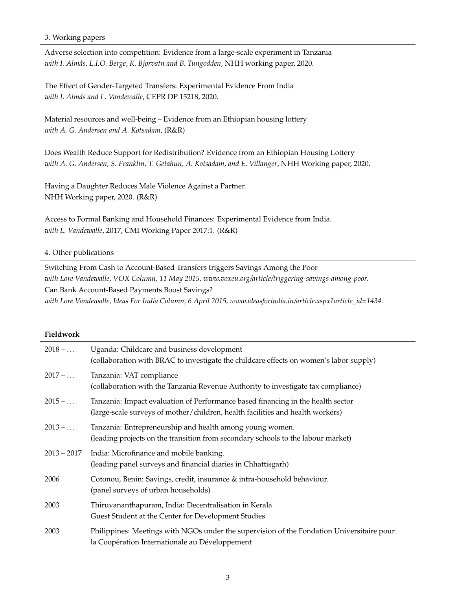### 3. Working papers

Adverse selection into competition: Evidence from a large-scale experiment in Tanzania *with I. Almås, L.I.O. Berge, K. Bjorvatn and B. Tungodden*, NHH working paper, 2020.

The Effect of Gender-Targeted Transfers: Experimental Evidence From India *with I. Almås and L. Vandewalle*, CEPR DP 15218, 2020.

Material resources and well-being – Evidence from an Ethiopian housing lottery *with A. G. Andersen and A. Kotsadam*, (R&R)

Does Wealth Reduce Support for Redistribution? Evidence from an Ethiopian Housing Lottery *with A. G. Andersen, S. Franklin, T. Getahun, A. Kotsadam, and E. Villanger*, NHH Working paper, 2020.

Having a Daughter Reduces Male Violence Against a Partner. NHH Working paper, 2020. (R&R)

Access to Formal Banking and Household Finances: Experimental Evidence from India. *with L. Vandewalle*, 2017, CMI Working Paper 2017:1. (R&R)

## 4. Other publications

Switching From Cash to Account-Based Transfers triggers Savings Among the Poor *with Lore Vandewalle, VOX Column, 11 May 2015, www.voxeu.org/article/triggering-savings-among-poor.* Can Bank Account-Based Payments Boost Savings? *with Lore Vandewalle, Ideas For India Column, 6 April 2015, www.ideasforindia.in/article.aspx?article\_id=1434.*

#### **Fieldwork**

| $2018 - $      | Uganda: Childcare and business development<br>(collaboration with BRAC to investigate the childcare effects on women's labor supply)                              |
|----------------|-------------------------------------------------------------------------------------------------------------------------------------------------------------------|
| $2017 - \dots$ | Tanzania: VAT compliance<br>(collaboration with the Tanzania Revenue Authority to investigate tax compliance)                                                     |
| $2015 - $      | Tanzania: Impact evaluation of Performance based financing in the health sector<br>(large-scale surveys of mother/children, health facilities and health workers) |
| $2013 - $      | Tanzania: Entrepreneurship and health among young women.<br>(leading projects on the transition from secondary schools to the labour market)                      |
| $2013 - 2017$  | India: Microfinance and mobile banking.<br>(leading panel surveys and financial diaries in Chhattisgarh)                                                          |
| 2006           | Cotonou, Benin: Savings, credit, insurance & intra-household behaviour.<br>(panel surveys of urban households)                                                    |
| 2003           | Thiruvananthapuram, India: Decentralisation in Kerala<br>Guest Student at the Center for Development Studies                                                      |
| 2003           | Philippines: Meetings with NGOs under the supervision of the Fondation Universitaire pour<br>la Coopération Internationale au Développement                       |